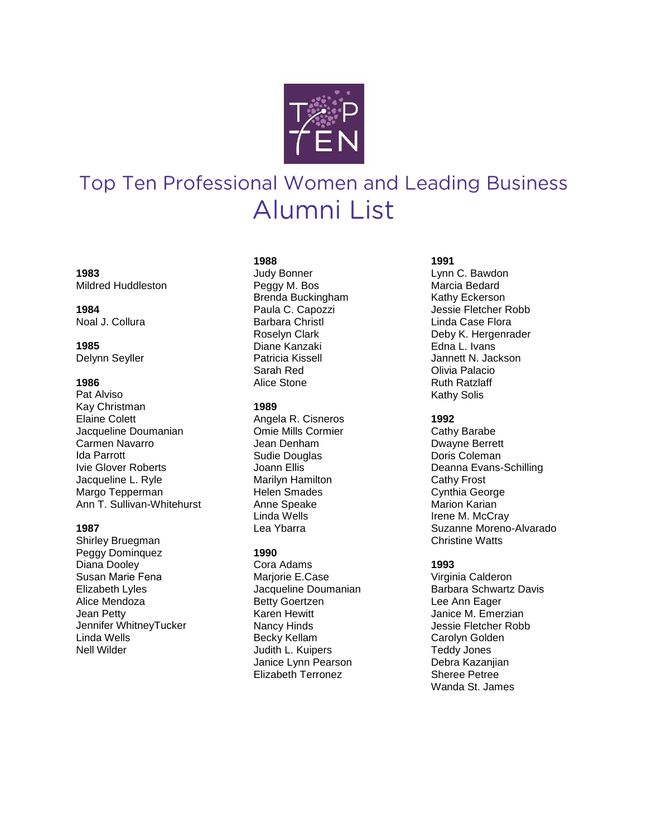

# Top Ten Professional Women and Leading Business Alumni List

**1983** Mildred Huddleston

## **1984** Noal J. Collura

**1985** Delynn Seyller

## **1986**

Pat Alviso Kay Christman Elaine Colett Jacqueline Doumanian Carmen Navarro Ida Parrott Ivie Glover Roberts Jacqueline L. Ryle Margo Tepperman Ann T. Sullivan-Whitehurst

## **1987**

Shirley Bruegman Peggy Dominquez Diana Dooley Susan Marie Fena Elizabeth Lyles Alice Mendoza Jean Petty Jennifer WhitneyTucker Linda Wells Nell Wilder

## **1988**

Judy Bonner Peggy M. Bos Brenda Buckingham Paula C. Capozzi Barbara Christl Roselyn Clark Diane Kanzaki Patricia Kissell Sarah Red Alice Stone

## **1989**

Angela R. Cisneros Omie Mills Cormier Jean Denham Sudie Douglas Joann Ellis Marilyn Hamilton Helen Smades Anne Speake Linda Wells Lea Ybarra

# **1990**

Cora Adams Marjorie E.Case Jacqueline Doumanian Betty Goertzen Karen Hewitt Nancy Hinds Becky Kellam Judith L. Kuipers Janice Lynn Pearson Elizabeth Terronez

# **1991**

Lynn C. Bawdon Marcia Bedard Kathy Eckerson Jessie Fletcher Robb Linda Case Flora Deby K. Hergenrader Edna L. Ivans Jannett N. Jackson Olivia Palacio Ruth Ratzlaff Kathy Solis

# **1992**

Cathy Barabe Dwayne Berrett Doris Coleman Deanna Evans -Schilling Cathy Frost Cynthia George Marion Karian Irene M. McCray Suzanne Moreno - Alvarado Christine Watts

# **1993**

Virginia Calderon Barbara Schwartz Davis Lee Ann Eager Janice M. Emerzian Jessie Fletcher Robb Carolyn Golden Teddy Jones Debra Kazanjian Sheree Petree Wanda St. James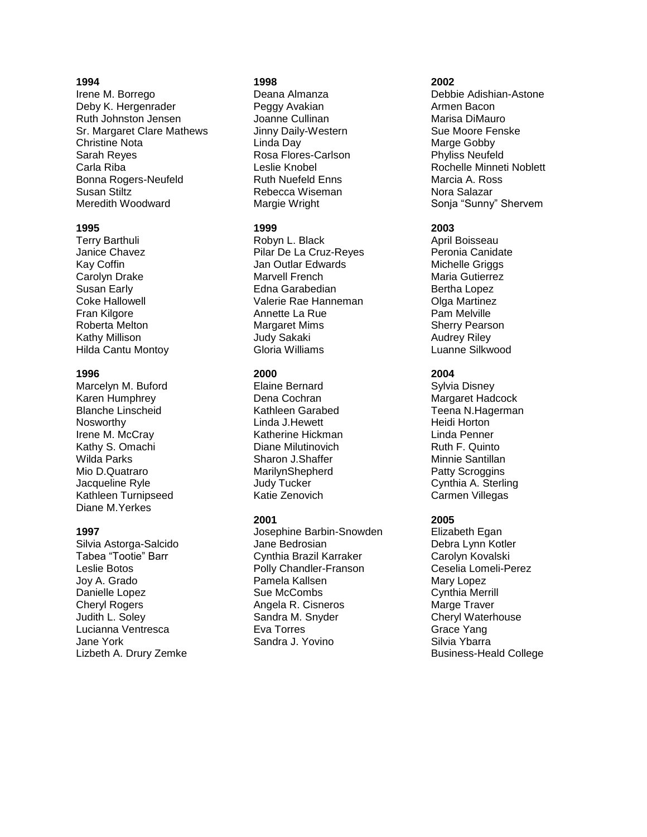## **1994**

Irene M. Borrego Deby K. Hergenrader Ruth Johnston Jensen Sr. Margaret Clare Mathews Christine Nota Sarah Reyes Carla Riba Bonna Rogers-Neufeld Susan Stiltz Meredith Woodward

#### **1995**

Terry Barthuli Janice Chavez Kay Coffin Carolyn Drake Susan Early Coke Hallowell Fran Kilgore Roberta Melton Kathy Millison Hilda Cantu Montoy

#### **1996**

Marcelyn M. Buford Karen Humphrey Blanche Linscheid Nosworthy Irene M. McCray Kathy S. Omachi Wilda Parks Mio D.Quatraro Jacqueline Ryle Kathleen Turnipseed Diane M.Yerkes

## **1997**

Silvia Astorga-Salcido Tabea "Tootie" Barr Leslie Botos Joy A. Grado Danielle Lopez Cheryl Rogers Judith L. Soley Lucianna Ventresca Jane York Lizbeth A. Drury Zemke

# **1998**

Deana Almanza Peggy Avakian Joanne Cullinan Jinny Daily-Western Linda Day Rosa Flores-Carlson Leslie Knobel Ruth Nuefeld Enns Rebecca Wiseman Margie Wright

## **1999**

Robyn L. Black Pilar De La Cruz-Reyes Jan Outlar Edwards Marvell French Edna Garabedian Valerie Rae Hanneman Annette La Rue Margaret Mims Judy Sakaki Gloria Williams

## **2000**

Elaine Bernard Dena Cochran Kathleen Garabed Linda J.Hewett Katherine Hickman Diane Milutinovich Sharon J.Shaffer MarilynShepherd Judy Tucker Katie Zenovich

## **2001**

Josephine Barbin-Snowden Jane Bedrosian Cynthia Brazil Karraker Polly Chandler-Franson Pamela Kallsen Sue McCombs Angela R. Cisneros Sandra M. Snyder Eva Torres Sandra J. Yovino

## **2002**

Debbie Adishian-Astone Armen Bacon Marisa DiMauro Sue Moore Fenske Marge Gobby Phyliss Neufeld Rochelle Minneti Noblett Marcia A. Ross Nora Salazar Sonja "Sunny" Shervem

## **2003**

April Boisseau Peronia Canidate Michelle Griggs Maria Gutierrez Bertha Lopez Olga Martinez Pam Melville Sherry Pearson Audrey Riley Luanne Silkwood

# **2004**

Sylvia Disney Margaret Hadcock Teena N.Hagerman Heidi Horton Linda Penner Ruth F. Quinto Minnie Santillan Patty Scroggins Cynthia A. Sterling Carmen Villegas

# **2005**

Elizabeth Egan Debra Lynn Kotler Carolyn Kovalski Ceselia Lomeli-Perez Mary Lopez Cynthia Merrill Marge Traver Cheryl Waterhouse Grace Yang Silvia Ybarra Business-Heald College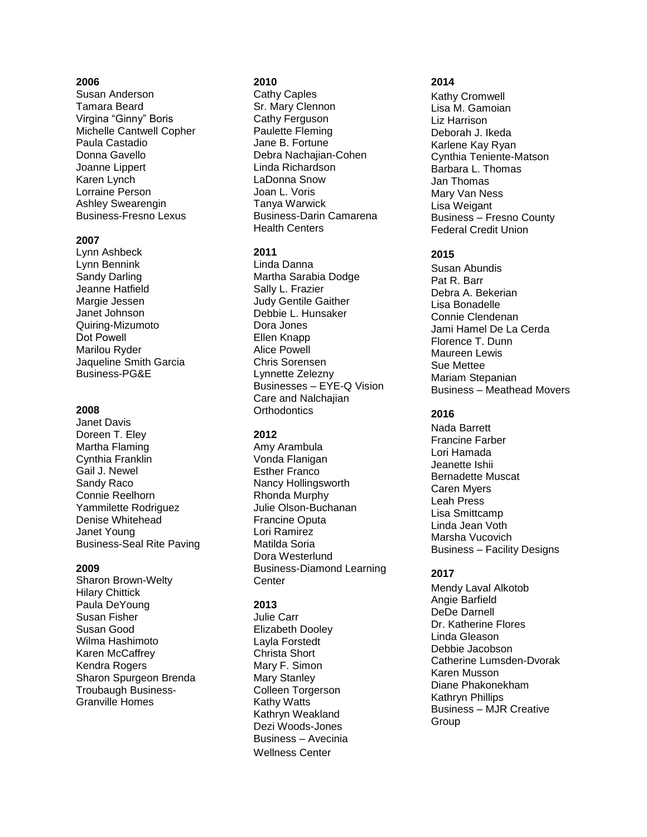# **2006**

Susan Anderson Tamara Beard Virgina "Ginny" Boris Michelle Cantwell Copher Paula Castadio Donna Gavello Joanne Lippert Karen Lynch Lorraine Person Ashley Swearengin Business-Fresno Lexus

#### **2007**

Lynn Ashbeck Lynn Bennink Sandy Darling Jeanne Hatfield Margie Jessen Janet Johnson Quiring-Mizumoto Dot Powell Marilou Ryder Jaqueline Smith Garcia Business-PG&E

#### **2008**

Janet Davis Doreen T. Eley Martha Flaming Cynthia Franklin Gail J. Newel Sandy Raco Connie Reelhorn Yammilette Rodriguez Denise Whitehead Janet Young Business-Seal Rite Paving

#### **2009**

Sharon Brown-Welty Hilary Chittick Paula DeYoung Susan Fisher Susan Good Wilma Hashimoto Karen McCaffrey Kendra Rogers Sharon Spurgeon Brenda Troubaugh Business-Granville Homes

## **2010**

Cathy Caples Sr. Mary Clennon Cathy Ferguson Paulette Fleming Jane B. Fortune Debra Nachajian -Cohen Linda Richardson LaDonna Snow Joan L. Voris Tanya Warwick Business -Darin Camarena Health Centers

#### **2011**

Linda Danna Martha Sarabia Dodge Sally L. Frazier Judy Gentile Gaither Debbie L. Hunsaker Dora Jones Ellen Knapp Alice Powell Chris Sorensen Lynnette Zelezny Businesses – EYE -Q Vision Care and Nalchajian **Orthodontics** 

# **2012**

Amy Arambula Vonda Flanigan Esther Franco Nancy Hollingsworth Rhonda Murphy Julie Olson -Buchanan Francine Oputa Lori Ramirez Matilda Soria Dora Westerlund Business -Diamond Learning **Center** 

## **2013**

Julie Carr Elizabeth Dooley Layla Forstedt Christa Short Mary F. Simon Mary Stanley Colleen Torgerson Kathy Watts Kathryn Weakland Dezi Woods -Jones Business – Avecinia Wellness Center

#### **2014**

Kathy Cromwell Lisa M. Gamoian Liz Harrison Deborah J. Ikeda Karlene Kay Ryan Cynthia Teniente -Matson Barbara L. Thomas Jan Thomas Mary Van Ness Lisa Weigant Business – Fresno County Federal Credit Union

## **2015**

Susan Abundis Pat R. Barr Debra A. Bekerian Lisa Bonadelle Connie Clendenan Jami Hamel De La Cerda Florence T. Dunn Maureen Lewis Sue Mettee Mariam Stepanian Business – Meathead Movers

## **2016**

Nada Barrett Francine Farber Lori Hamada Jeanette Ishii Bernadette Muscat Caren Myers Leah Press Lisa Smittcamp Linda Jean Voth Marsha Vucovich Business – Facility Designs

## **2017**

Mendy Laval Alkotob Angie Barfield DeDe Darnell Dr. Katherine Flores Linda Gleason Debbie Jacobson Catherine Lumsden -Dvorak Karen Musson Diane Phakonekham Kathryn Phillips Business – MJR Creative **Group**